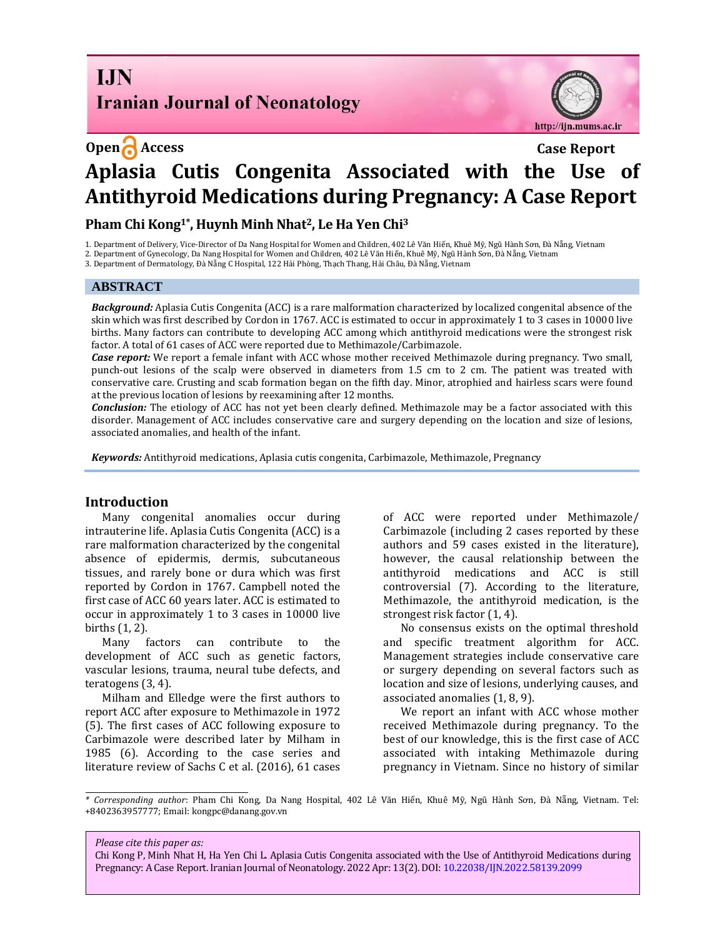# **I.IN Iranian Journal of Neonatology**

http://ijn.mums.ac.ir

# **Open Access Case Report Aplasia Cutis Congenita Associated with the Use of Antithyroid Medications during Pregnancy: A Case Report**

# **Pham Chi Kong1\*, Huynh Minh Nhat2, Le Ha Yen Chi<sup>3</sup>**

1. Department of Delivery, Vice-Director of Da Nang Hospital for Women and Children, 402 Lê Văn Hiến, Khuê Mỹ, Ngũ Hành Sơn, Đà Nẵng, Vietnam

2. Department of Gynecology, Da Nang Hospital for Women and Children, 402 Lê Văn Hiến, Khuê Mỹ, Ngũ Hành Sơn, Đà Nẵng, Vietnam

3. Department of Dermatology, Đà Nẵng C Hospital, 122 Hải Phòng, Thạch Thang, Hải Châu, Đà Nẵng, Vietnam

#### **ABSTRACT**

*Background:* Aplasia Cutis Congenita (ACC) is a rare malformation characterized by localized congenital absence of the skin which was first described by Cordon in 1767. ACC is estimated to occur in approximately 1 to 3 cases in 10000 live births. Many factors can contribute to developing ACC among which antithyroid medications were the strongest risk factor. A total of 61 cases of ACC were reported due to Methimazole/Carbimazole.

*Case report:* We report a female infant with ACC whose mother received Methimazole during pregnancy. Two small, punch-out lesions of the scalp were observed in diameters from 1.5 cm to 2 cm. The patient was treated with conservative care. Crusting and scab formation began on the fifth day. Minor, atrophied and hairless scars were found at the previous location of lesions by reexamining after 12 months.

*Conclusion:* The etiology of ACC has not yet been clearly defined. Methimazole may be a factor associated with this disorder. Management of ACC includes conservative care and surgery depending on the location and size of lesions, associated anomalies, and health of the infant.

*Keywords:* Antithyroid medications, Aplasia cutis congenita, Carbimazole, Methimazole, Pregnancy

### **Introduction**

Many congenital anomalies occur during intrauterine life. Aplasia Cutis Congenita (ACC) is a rare malformation characterized by the congenital absence of epidermis, dermis, subcutaneous tissues, and rarely bone or dura which was first reported by Cordon in 1767. Campbell noted the first case of ACC 60 years later. ACC is estimated to occur in approximately 1 to 3 cases in 10000 live births (1, 2).

Many factors can contribute to the development of ACC such as genetic factors, vascular lesions, trauma, neural tube defects, and teratogens (3, 4).

Milham and Elledge were the first authors to report ACC after exposure to Methimazole in 1972 (5). The first cases of ACC following exposure to Carbimazole were described later by Milham in 1985 (6). According to the case series and literature review of Sachs C et al. (2016), 61 cases of ACC were reported under Methimazole/ Carbimazole (including 2 cases reported by these authors and 59 cases existed in the literature), however, the causal relationship between the antithyroid medications and ACC is still controversial (7). According to the literature, Methimazole, the antithyroid medication, is the strongest risk factor (1, 4).

No consensus exists on the optimal threshold and specific treatment algorithm for ACC. Management strategies include conservative care or surgery depending on several factors such as location and size of lesions, underlying causes, and associated anomalies (1, 8, 9).

We report an infant with ACC whose mother received Methimazole during pregnancy. To the best of our knowledge, this is the first case of ACC associated with intaking Methimazole during pregnancy in Vietnam. Since no history of similar

*Please cite this paper as:*

Chi Kong P, Minh Nhat H, Ha Yen Chi L. Aplasia Cutis Congenita associated with the Use of Antithyroid Medications during Pregnancy: A Case Report. Iranian Journal of Neonatology. 2022 Apr: 13(2). DOI[: 10.22038/IJN.2022.58139.2099](https://ijn.mums.ac.ir/)

*<sup>\*</sup> Corresponding author*: Pham Chi Kong, Da Nang Hospital, 402 Lê Văn Hiến, Khuê Mỹ, Ngũ Hành Sơn, Đà Nẵng, Vietnam. Tel: +8402363957777; Email[: kongpc@danang.gov.vn](mailto:kongpc@danang.gov.vn)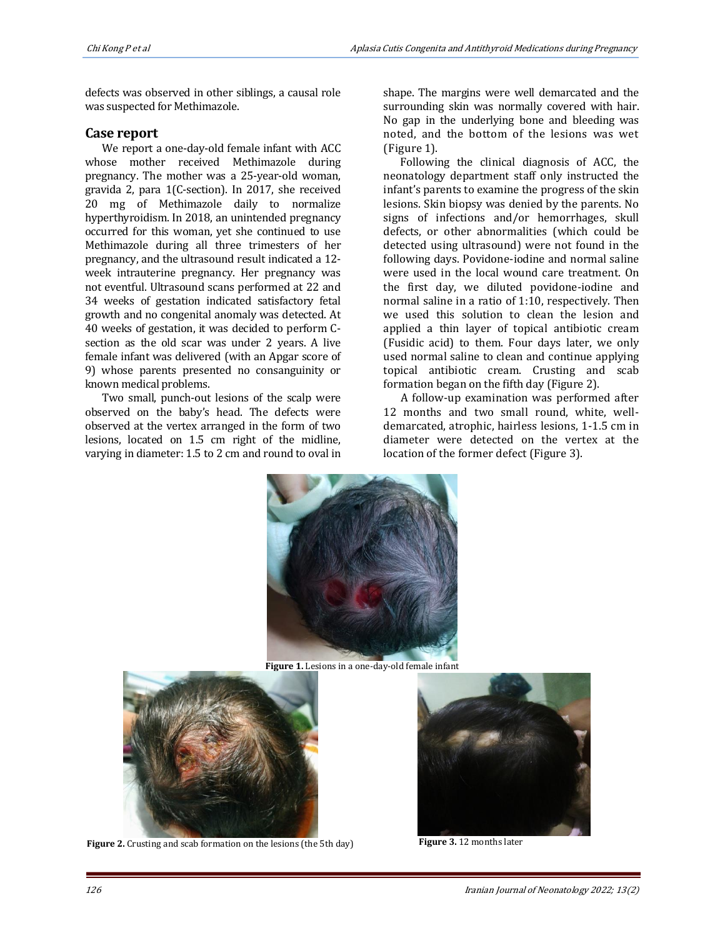defects was observed in other siblings, a causal role was suspected for Methimazole.

#### **Case report**

We report a one-day-old female infant with ACC whose mother received Methimazole during pregnancy. The mother was a 25-year-old woman, gravida 2, para 1(C-section). In 2017, she received 20 mg of Methimazole daily to normalize hyperthyroidism. In 2018, an unintended pregnancy occurred for this woman, yet she continued to use Methimazole during all three trimesters of her pregnancy, and the ultrasound result indicated a 12 week intrauterine pregnancy. Her pregnancy was not eventful. Ultrasound scans performed at 22 and 34 weeks of gestation indicated satisfactory fetal growth and no congenital anomaly was detected. At 40 weeks of gestation, it was decided to perform Csection as the old scar was under 2 years. A live female infant was delivered (with an Apgar score of 9) whose parents presented no consanguinity or known medical problems.

Two small, punch-out lesions of the scalp were observed on the baby's head. The defects were observed at the vertex arranged in the form of two lesions, located on 1.5 cm right of the midline, varying in diameter: 1.5 to 2 cm and round to oval in

shape. The margins were well demarcated and the surrounding skin was normally covered with hair. No gap in the underlying bone and bleeding was noted, and the bottom of the lesions was wet (Figure 1).

Following the clinical diagnosis of ACC, the neonatology department staff only instructed the infant's parents to examine the progress of the skin lesions. Skin biopsy was denied by the parents. No signs of infections and/or hemorrhages, skull defects, or other abnormalities (which could be detected using ultrasound) were not found in the following days. Povidone-iodine and normal saline were used in the local wound care treatment. On the first day, we diluted povidone-iodine and normal saline in a ratio of 1:10, respectively. Then we used this solution to clean the lesion and applied a thin layer of topical antibiotic cream (Fusidic acid) to them. Four days later, we only used normal saline to clean and continue applying topical antibiotic cream. Crusting and scab formation began on the fifth day (Figure 2).

A follow-up examination was performed after 12 months and two small round, white, welldemarcated, atrophic, hairless lesions, 1-1.5 cm in diameter were detected on the vertex at the location of the former defect (Figure 3).



**Figure 1.** Lesions in a one-day-old female infant



**Figure 2.** Crusting and scab formation on the lesions (the 5th day) **Figure 3.** 12 months later

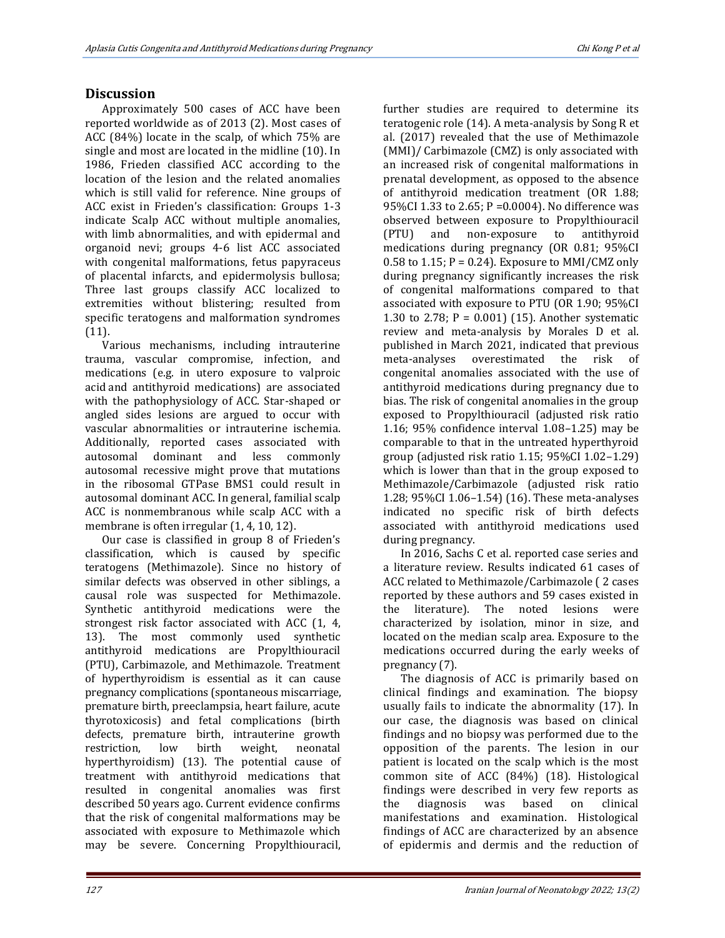# **Discussion**

Approximately 500 cases of ACC have been reported worldwide as of 2013 (2). Most cases of ACC (84%) locate in the scalp, of which 75% are single and most are located in the midline (10). In 1986, Frieden classified ACC according to the location of the lesion and the related anomalies which is still valid for reference. Nine groups of ACC exist in Frieden's classification: Groups 1-3 indicate Scalp ACC without multiple anomalies, with limb abnormalities, and with epidermal and organoid nevi; groups 4-6 list ACC associated with congenital malformations, fetus papyraceus of placental infarcts, and epidermolysis bullosa; Three last groups classify ACC localized to extremities without blistering; resulted from specific teratogens and malformation syndromes (11).

Various mechanisms, including intrauterine trauma, vascular compromise, infection, and medications (e.g. in utero exposure to valproic acid and antithyroid medications) are associated with the pathophysiology of ACC. Star-shaped or angled sides lesions are argued to occur with vascular abnormalities or intrauterine ischemia. Additionally, reported cases associated with autosomal dominant and less commonly autosomal recessive might prove that mutations in the ribosomal GTPase BMS1 could result in autosomal dominant ACC. In general, familial scalp ACC is nonmembranous while scalp ACC with a membrane is often irregular (1, 4, 10, 12).

Our case is classified in group 8 of Frieden's classification, which is caused by specific teratogens (Methimazole). Since no history of similar defects was observed in other siblings, a causal role was suspected for Methimazole. Synthetic antithyroid medications were the strongest risk factor associated with ACC (1, 4, 13). The most commonly used synthetic antithyroid medications are Propylthiouracil (PTU), Carbimazole, and Methimazole. Treatment of hyperthyroidism is essential as it can cause pregnancy complications (spontaneous miscarriage, premature birth, preeclampsia, heart failure, acute thyrotoxicosis) and fetal complications (birth defects, premature birth, intrauterine growth restriction, low birth weight, neonatal hyperthyroidism) (13). The potential cause of treatment with antithyroid medications that resulted in congenital anomalies was first described 50 years ago. Current evidence confirms that the risk of congenital malformations may be associated with exposure to Methimazole which may be severe. Concerning Propylthiouracil,

further studies are required to determine its teratogenic role (14). A meta-analysis by Song R et al. (2017) revealed that the use of Methimazole (MMI)/ Carbimazole (CMZ) is only associated with an increased risk of congenital malformations in prenatal development, as opposed to the absence of antithyroid medication treatment (OR 1.88; 95%CI 1.33 to 2.65; P =0.0004). No difference was observed between exposure to Propylthiouracil (PTU) and non-exposure to antithyroid medications during pregnancy (OR 0.81; 95%CI  $0.58$  to  $1.15$ ; P =  $0.24$ ). Exposure to MMI/CMZ only during pregnancy significantly increases the risk of congenital malformations compared to that associated with exposure to PTU (OR 1.90; 95%CI 1.30 to 2.78;  $P = 0.001$  (15). Another systematic review and meta-analysis by Morales D et al. published in March 2021, indicated that previous meta‐analyses overestimated the risk of congenital anomalies associated with the use of antithyroid medications during pregnancy due to bias. The risk of congenital anomalies in the group exposed to Propylthiouracil (adjusted risk ratio 1.16; 95% confidence interval 1.08–1.25) may be comparable to that in the untreated hyperthyroid group (adjusted risk ratio 1.15; 95%CI 1.02–1.29) which is lower than that in the group exposed to Methimazole/Carbimazole (adjusted risk ratio 1.28; 95%CI 1.06–1.54) (16). These meta-analyses indicated no specific risk of birth defects associated with antithyroid medications used during pregnancy.

In 2016, [Sachs C](https://www.ncbi.nlm.nih.gov/pubmed/?term=Sachs%20C%5BAuthor%5D&cauthor=true&cauthor_uid=27033749) et al. reported case series and a literature review. Results indicated 61 cases of ACC related to Methimazole/Carbimazole ( 2 cases reported by these authors and 59 cases existed in the literature). The noted lesions were characterized by isolation, minor in size, and located on the median scalp area. Exposure to the medications occurred during the early weeks of pregnancy (7).

The diagnosis of ACC is primarily based on clinical findings and examination. The biopsy usually fails to indicate the abnormality (17). In our case, the diagnosis was based on clinical findings and no biopsy was performed due to the opposition of the parents. The lesion in our patient is located on the scalp which is the most common site of ACC (84%) (18). Histological findings were described in very few reports as the diagnosis was based on clinical manifestations and examination. Histological findings of ACC are characterized by an absence of epidermis and dermis and the reduction of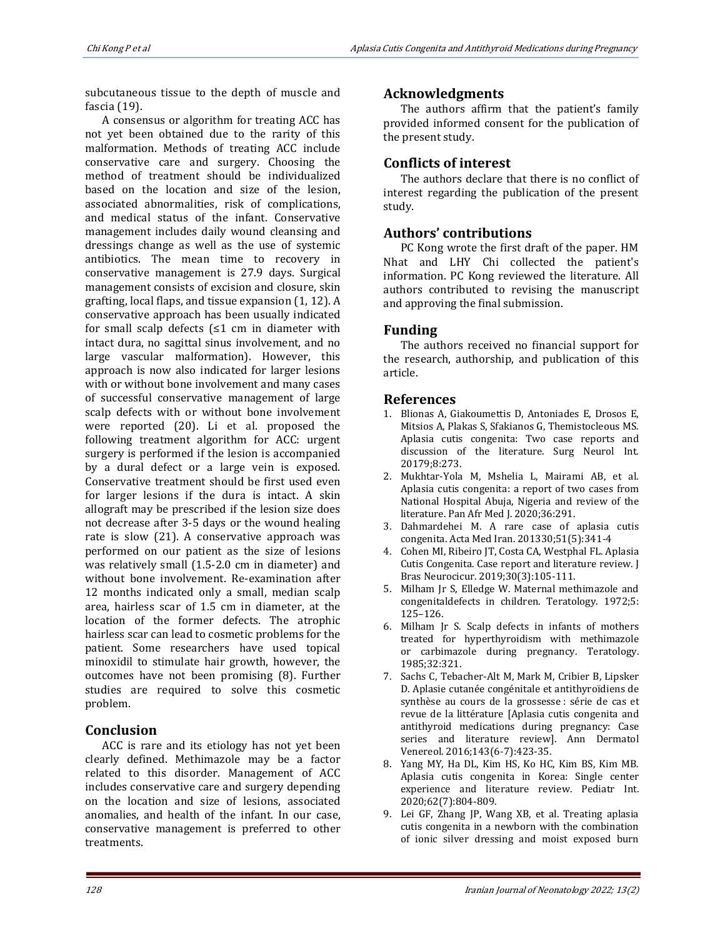subcutaneous tissue to the depth of muscle and fascia (19).

A consensus or algorithm for treating ACC has not yet been obtained due to the rarity of this malformation. Methods of treating ACC include conservative care and surgery. Choosing the method of treatment should be individualized based on the location and size of the lesion, associated abnormalities, risk of complications, and medical status of the infant. Conservative management includes daily wound cleansing and dressings change as well as the use of systemic antibiotics. The mean time to recovery in conservative management is 27.9 days. Surgical management consists of excision and closure, skin grafting, local flaps, and tissue expansion (1, 12). A conservative approach has been usually indicated for small scalp defects  $\leq 1$  cm in diameter with intact dura, no sagittal sinus involvement, and no large vascular malformation). However, this approach is now also indicated for larger lesions with or without bone involvement and many cases of successful conservative management of large scalp defects with or without bone involvement were reported (20). Li et al. proposed the following treatment algorithm for ACC: urgent surgery is performed if the lesion is accompanied by a dural defect or a large vein is exposed. Conservative treatment should be first used even for larger lesions if the dura is intact. A skin allograft may be prescribed if the lesion size does not decrease after 3-5 days or the wound healing rate is slow (21). A conservative approach was performed on our patient as the size of lesions was relatively small (1.5-2.0 cm in diameter) and without bone involvement. Re-examination after 12 months indicated only a small, median scalp area, hairless scar of 1.5 cm in diameter, at the location of the former defects. The atrophic hairless scar can lead to cosmetic problems for the patient. Some researchers have used topical minoxidil to stimulate hair growth, however, the outcomes have not been promising (8). Further studies are required to solve this cosmetic problem.

# **Conclusion**

ACC is rare and its etiology has not yet been clearly defined. Methimazole may be a factor related to this disorder. Management of ACC includes conservative care and surgery depending on the location and size of lesions, associated anomalies, and health of the infant. In our case, conservative management is preferred to other treatments.

# **Acknowledgments**

The authors affirm that the patient's family provided informed consent for the publication of the present study.

# **Conflicts of interest**

The authors declare that there is no conflict of interest regarding the publication of the present study.

# **Authors' contributions**

PC Kong wrote the first draft of the paper. HM Nhat and LHY Chi collected the patient's information. PC Kong reviewed the literature. All authors contributed to revising the manuscript and approving the final submission.

### **Funding**

The authors received no financial support for the research, authorship, and publication of this article.

# **References**

- 1. Blionas A, Giakoumettis D, Antoniades E, Drosos E, Mitsios A, Plakas S, Sfakianos G, Themistocleous MS. Aplasia cutis congenita: Two case reports and discussion of the literature. Surg Neurol Int. 20179;8:273.
- 2. Mukhtar-Yola M, Mshelia L, Mairami AB, et al. Aplasia cutis congenita: a report of two cases from National Hospital Abuja, Nigeria and review of the literature. Pan Afr Med J. 2020;36:291.
- 3. Dahmardehei M. A rare case of aplasia cutis congenita. Acta Med Iran. 201330;51(5):341-4
- 4. Cohen MI, Ribeiro JT, Costa CA, Westphal FL. Aplasia Cutis Congenita. Case report and literature review. J Bras Neurocicur. 2019;30(3):105-111.
- 5. Milham Jr S, Elledge W. Maternal methimazole and congenitaldefects in children. Teratology. 1972;5: 125–126.
- 6. Milham Jr S. Scalp defects in infants of mothers treated for hyperthyroidism with methimazole or carbimazole during pregnancy. Teratology. 1985;32:321.
- 7. Sachs C, Tebacher-Alt M, Mark M, Cribier B, Lipsker D. Aplasie cutanée congénitale et antithyroïdiens de synthèse au cours de la grossesse : série de cas et revue de la littérature [Aplasia cutis congenita and antithyroid medications during pregnancy: Case series and literature review]. Ann Dermatol Venereol. 2016;143(6-7):423-35.
- 8. Yang MY, Ha DL, Kim HS, Ko HC, Kim BS, Kim MB. Aplasia cutis congenita in Korea: Single center experience and literature review. Pediatr Int. 2020;62(7):804-809.
- 9. Lei GF, Zhang JP, Wang XB, et al. Treating aplasia cutis congenita in a newborn with the combination of ionic silver dressing and moist exposed burn